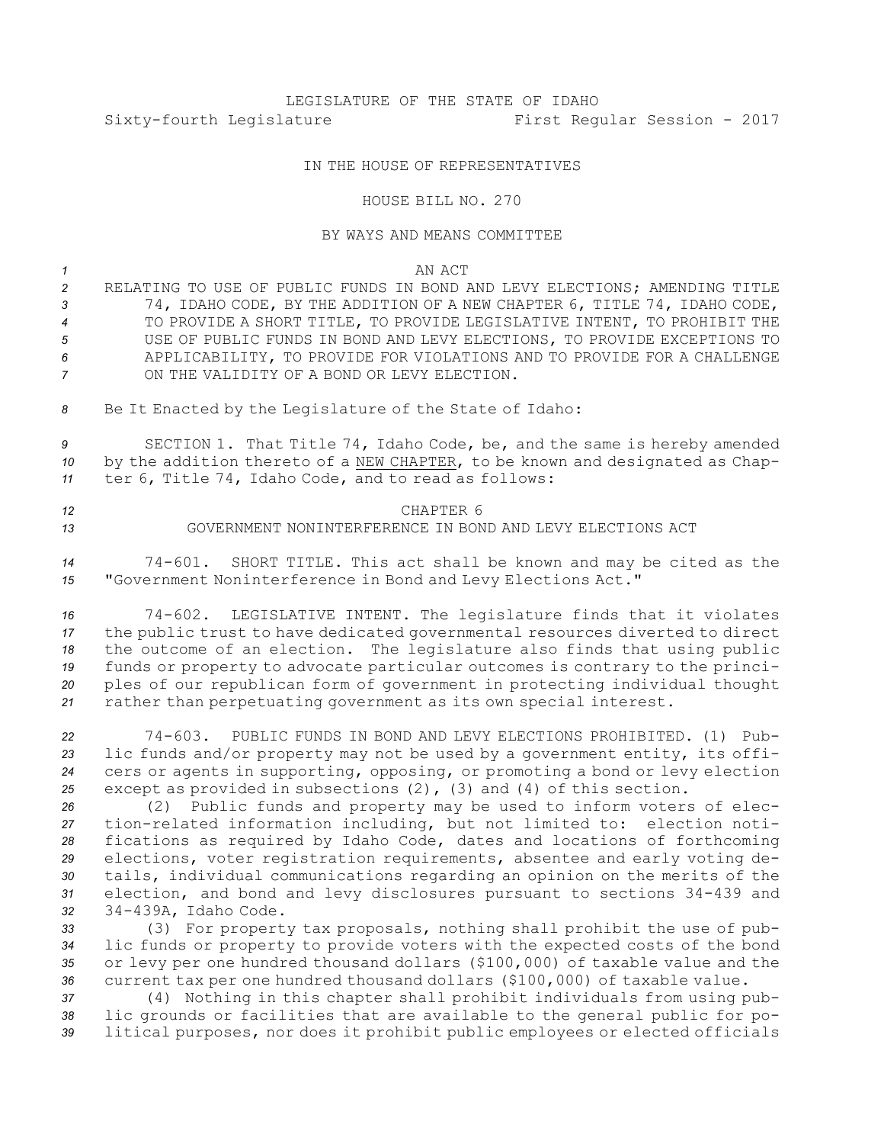# LEGISLATURE OF THE STATE OF IDAHO Sixty-fourth Legislature First Regular Session - 2017

### IN THE HOUSE OF REPRESENTATIVES

#### HOUSE BILL NO. 270

#### BY WAYS AND MEANS COMMITTEE

*1* AN ACT

 RELATING TO USE OF PUBLIC FUNDS IN BOND AND LEVY ELECTIONS; AMENDING TITLE 74, IDAHO CODE, BY THE ADDITION OF A NEW CHAPTER 6, TITLE 74, IDAHO CODE, TO PROVIDE A SHORT TITLE, TO PROVIDE LEGISLATIVE INTENT, TO PROHIBIT THE USE OF PUBLIC FUNDS IN BOND AND LEVY ELECTIONS, TO PROVIDE EXCEPTIONS TO APPLICABILITY, TO PROVIDE FOR VIOLATIONS AND TO PROVIDE FOR A CHALLENGE ON THE VALIDITY OF A BOND OR LEVY ELECTION.

*<sup>8</sup>* Be It Enacted by the Legislature of the State of Idaho:

*<sup>9</sup>* SECTION 1. That Title 74, Idaho Code, be, and the same is hereby amended *<sup>10</sup>* by the addition thereto of <sup>a</sup> NEW CHAPTER, to be known and designated as Chap-*<sup>11</sup>* ter 6, Title 74, Idaho Code, and to read as follows:

## *12* CHAPTER 6 *13* GOVERNMENT NONINTERFERENCE IN BOND AND LEVY ELECTIONS ACT

*<sup>14</sup>* 74-601. SHORT TITLE. This act shall be known and may be cited as the *<sup>15</sup>* "Government Noninterference in Bond and Levy Elections Act."

 74-602. LEGISLATIVE INTENT. The legislature finds that it violates the public trust to have dedicated governmental resources diverted to direct the outcome of an election. The legislature also finds that using public funds or property to advocate particular outcomes is contrary to the princi- ples of our republican form of government in protecting individual thought rather than perpetuating government as its own special interest.

 74-603. PUBLIC FUNDS IN BOND AND LEVY ELECTIONS PROHIBITED. (1) Pub- lic funds and/or property may not be used by <sup>a</sup> government entity, its offi- cers or agents in supporting, opposing, or promoting <sup>a</sup> bond or levy election except as provided in subsections (2), (3) and (4) of this section.

 (2) Public funds and property may be used to inform voters of elec- tion-related information including, but not limited to: election noti- fications as required by Idaho Code, dates and locations of forthcoming elections, voter registration requirements, absentee and early voting de- tails, individual communications regarding an opinion on the merits of the election, and bond and levy disclosures pursuant to sections 34-439 and 34-439A, Idaho Code.

 (3) For property tax proposals, nothing shall prohibit the use of pub- lic funds or property to provide voters with the expected costs of the bond or levy per one hundred thousand dollars (\$100,000) of taxable value and the current tax per one hundred thousand dollars (\$100,000) of taxable value.

*<sup>37</sup>* (4) Nothing in this chapter shall prohibit individuals from using pub-*<sup>38</sup>* lic grounds or facilities that are available to the general public for po-*<sup>39</sup>* litical purposes, nor does it prohibit public employees or elected officials